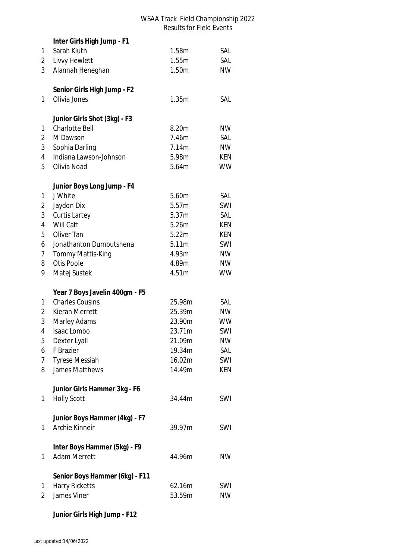|                | Inter Girls High Jump - F1     |        |            |
|----------------|--------------------------------|--------|------------|
| 1              | Sarah Kluth                    | 1.58m  | SAL        |
| 2              | Livvy Hewlett                  | 1.55m  | SAL        |
| 3              | Alannah Heneghan               | 1.50m  | <b>NW</b>  |
|                |                                |        |            |
|                | Senior Girls High Jump - F2    |        |            |
| 1              | Olivia Jones                   | 1.35m  | SAL        |
|                |                                |        |            |
|                | Junior Girls Shot (3kg) - F3   |        |            |
| 1              | <b>Charlotte Bell</b>          | 8.20m  | <b>NW</b>  |
| 2              | M Dawson                       | 7.46m  | SAL        |
| 3              | Sophia Darling                 | 7.14m  | <b>NW</b>  |
| $\overline{4}$ | Indiana Lawson-Johnson         | 5.98m  | KEN        |
| 5              | Olivia Noad                    | 5.64m  | <b>WW</b>  |
|                | Junior Boys Long Jump - F4     |        |            |
| 1              | J White                        | 5.60m  | SAL        |
| 2              | Jaydon Dix                     | 5.57m  | SWI        |
| 3              | Curtis Lartey                  | 5.37m  | SAL        |
| 4              | Will Catt                      | 5.26m  | <b>KEN</b> |
| 5              | Oliver Tan                     | 5.22m  | KEN        |
| 6              | Jonathanton Dumbutshena        | 5.11m  | SWI        |
| 7              | Tommy Mattis-King              | 4.93m  | <b>NW</b>  |
| 8              | <b>Otis Poole</b>              | 4.89m  | <b>NW</b>  |
| 9              |                                |        | <b>WW</b>  |
|                | Matej Sustek                   | 4.51m  |            |
|                | Year 7 Boys Javelin 400gm - F5 |        |            |
| 1              | <b>Charles Cousins</b>         | 25.98m | SAL        |
| 2              | Kieran Merrett                 | 25.39m | <b>NW</b>  |
| 3              | Marley Adams                   | 23.90m | <b>WW</b>  |
| 4              | Isaac Lombo                    | 23.71m | SWI        |
| 5              | Dexter Lyall                   | 21.09m | <b>NW</b>  |
| 6              | F Brazier                      | 19.34m | SAL        |
| 7              | <b>Tyrese Messiah</b>          | 16.02m | SWI        |
| 8              | James Matthews                 | 14.49m | <b>KEN</b> |
|                |                                |        |            |
|                | Junior Girls Hammer 3kg - F6   |        |            |
| 1              | <b>Holly Scott</b>             | 34.44m | SWI        |
|                | Junior Boys Hammer (4kg) - F7  |        |            |
| 1              | Archie Kinneir                 | 39.97m | SWI        |
|                |                                |        |            |
|                | Inter Boys Hammer (5kg) - F9   |        |            |
| 1              | <b>Adam Merrett</b>            | 44.96m | <b>NW</b>  |
|                |                                |        |            |
|                | Senior Boys Hammer (6kg) - F11 |        |            |
| 1              | <b>Harry Ricketts</b>          | 62.16m | SWI        |
| 2              | James Viner                    | 53.59m | <b>NW</b>  |
|                |                                |        |            |

# **Junior Girls High Jump - F12**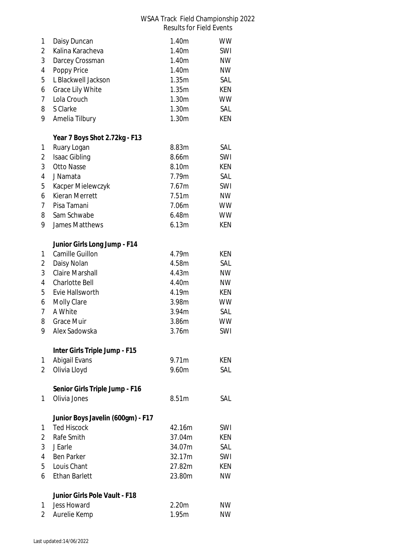| 1              | Daisy Duncan                      | 1.40m  | <b>WW</b>  |
|----------------|-----------------------------------|--------|------------|
| 2              | Kalina Karacheva                  | 1.40m  | SWI        |
| 3              | Darcey Crossman                   | 1.40m  | <b>NW</b>  |
| 4              | Poppy Price                       | 1.40m  | <b>NW</b>  |
| 5              | L Blackwell Jackson               | 1.35m  | SAL        |
| 6              | <b>Grace Lily White</b>           | 1.35m  | KEN        |
| 7              | Lola Crouch                       | 1.30m  | <b>WW</b>  |
| 8              | S Clarke                          | 1.30m  | SAL        |
| 9              | Amelia Tilbury                    | 1.30m  | KEN        |
|                | Year 7 Boys Shot 2.72kg - F13     |        |            |
| 1              | Ruary Logan                       | 8.83m  | SAL        |
| 2              | Isaac Gibling                     | 8.66m  | SWI        |
| 3              | <b>Otto Nasse</b>                 | 8.10m  | <b>KEN</b> |
| 4              | J Namata                          | 7.79m  | SAL        |
| 5              | Kacper Mielewczyk                 | 7.67m  | SWI        |
| 6              | Kieran Merrett                    | 7.51m  | <b>NW</b>  |
| $\overline{7}$ | Pisa Tamani                       | 7.06m  | <b>WW</b>  |
| 8              | Sam Schwabe                       | 6.48m  | <b>WW</b>  |
| 9              | James Matthews                    | 6.13m  | <b>KEN</b> |
|                | Junior Girls Long Jump - F14      |        |            |
| 1              | Camille Guillon                   | 4.79m  | KEN        |
| 2              | Daisy Nolan                       | 4.58m  | SAL        |
| 3              | <b>Claire Marshall</b>            | 4.43m  | <b>NW</b>  |
| 4              | Charlotte Bell                    | 4.40m  | <b>NW</b>  |
| 5              | Evie Hallsworth                   | 4.19m  | KEN        |
| 6              | <b>Molly Clare</b>                | 3.98m  | <b>WW</b>  |
| 7              | A White                           | 3.94m  | SAL        |
| 8              | <b>Grace Muir</b>                 | 3.86m  | <b>WW</b>  |
| 9              | Alex Sadowska                     | 3.76m  | SWI        |
|                | Inter Girls Triple Jump - F15     |        |            |
| 1              | Abigail Evans                     | 9.71m  | KEN        |
| $\overline{2}$ | Olivia Lloyd                      | 9.60m  | SAL        |
|                | Senior Girls Triple Jump - F16    |        |            |
| 1              | Olivia Jones                      | 8.51m  | SAL        |
|                | Junior Boys Javelin (600gm) - F17 |        |            |
| 1              | <b>Ted Hiscock</b>                | 42.16m | SWI        |
| 2              | Rafe Smith                        | 37.04m | KEN        |
| 3              | J Earle                           | 34.07m | SAL        |
| 4              | <b>Ben Parker</b>                 | 32.17m | SWI        |
| 5              | Louis Chant                       | 27.82m | KEN        |
| 6              | <b>Ethan Barlett</b>              | 23.80m | <b>NW</b>  |
|                | Junior Girls Pole Vault - F18     |        |            |
| 1              | <b>Jess Howard</b>                | 2.20m  | <b>NW</b>  |
| $\overline{2}$ | Aurelie Kemp                      | 1.95m  | <b>NW</b>  |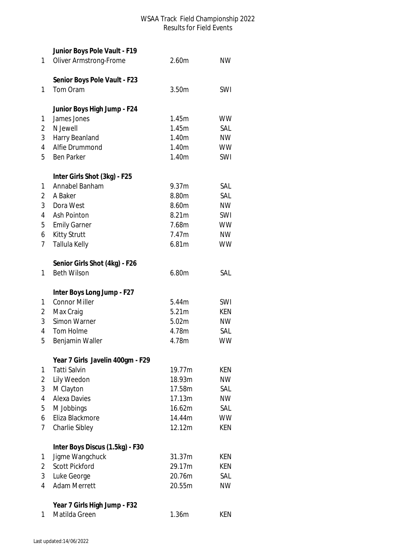|        | Junior Boys Pole Vault - F19             |                  |                  |
|--------|------------------------------------------|------------------|------------------|
| 1      | <b>Oliver Armstrong-Frome</b>            | 2.60m            | <b>NW</b>        |
|        |                                          |                  |                  |
|        | Senior Boys Pole Vault - F23<br>Tom Oram | 3.50m            | SWI              |
| 1      |                                          |                  |                  |
|        | Junior Boys High Jump - F24              |                  |                  |
| 1      | James Jones                              | 1.45m            | <b>WW</b>        |
| 2      | N Jewell                                 | 1.45m            | SAL              |
| 3      | Harry Beanland                           | 1.40m            | <b>NW</b>        |
| 4      | Alfie Drummond                           | 1.40m            | <b>WW</b>        |
| 5      | <b>Ben Parker</b>                        | 1.40m            | SWI              |
|        | Inter Girls Shot (3kg) - F25             |                  |                  |
| 1      | Annabel Banham                           | 9.37m            | SAL              |
| 2      | A Baker                                  | 8.80m            | SAL              |
| 3      | Dora West                                | 8.60m            | <b>NW</b>        |
| 4      | Ash Pointon                              | 8.21m            | SWI              |
| 5      | <b>Emily Garner</b>                      | 7.68m            | <b>WW</b>        |
| 6      | <b>Kitty Strutt</b>                      | 7.47m            | <b>NW</b>        |
| 7      | Tallula Kelly                            | 6.81m            | <b>WW</b>        |
|        | Senior Girls Shot (4kg) - F26            |                  |                  |
| 1      | <b>Beth Wilson</b>                       | 6.80m            | SAL              |
|        | Inter Boys Long Jump - F27               |                  |                  |
| 1      | <b>Connor Miller</b>                     | 5.44m            | SWI              |
| 2      | Max Craig                                | 5.21m            | KEN              |
| 3      | Simon Warner                             | 5.02m            | NW               |
| 4      | Tom Holme                                | 4.78m            | SAL              |
| 5      | Benjamin Waller                          | 4.78m            | <b>WW</b>        |
|        |                                          |                  |                  |
|        | Year 7 Girls Javelin 400gm - F29         |                  |                  |
| 1      | Tatti Salvin                             | 19.77m           | KEN.             |
| 2<br>3 | Lily Weedon                              | 18.93m<br>17.58m | <b>NW</b><br>SAL |
|        | M Clayton<br><b>Alexa Davies</b>         | 17.13m           |                  |
| 4      |                                          | 16.62m           | <b>NW</b><br>SAL |
| 5<br>6 | M Jobbings<br>Eliza Blackmore            | 14.44m           | <b>WW</b>        |
| 7      |                                          | 12.12m           | <b>KEN</b>       |
|        | Charlie Sibley                           |                  |                  |
|        | Inter Boys Discus (1.5kg) - F30          |                  |                  |
| 1      | Jigme Wangchuck                          | 31.37m           | KEN              |
| 2      | <b>Scott Pickford</b>                    | 29.17m           | KEN              |
| 3      | Luke George                              | 20.76m           | SAL              |
| 4      | <b>Adam Merrett</b>                      | 20.55m           | <b>NW</b>        |
|        | Year 7 Girls High Jump - F32             |                  |                  |
|        |                                          |                  |                  |
| 1      | Matilda Green                            | 1.36m            | KEN              |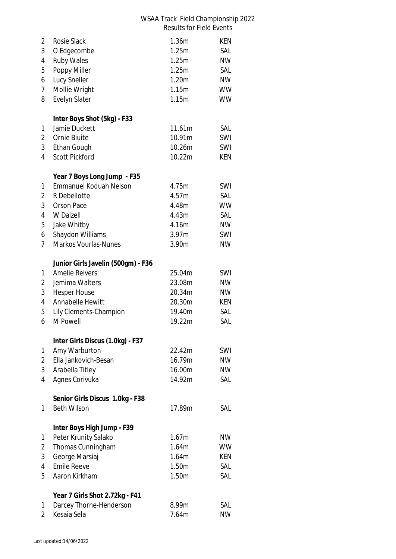| 2              | <b>Rosie Slack</b>                 | 1.36m  | KEN        |
|----------------|------------------------------------|--------|------------|
| 3              | O Edgecombe                        | 1.25m  | SAL        |
| 4              | <b>Ruby Wales</b>                  | 1.25m  | <b>NW</b>  |
| 5              | Poppy Miller                       | 1.25m  | SAL        |
| 6              | Lucy Sneller                       | 1.20m  | <b>NW</b>  |
| 7              | Mollie Wright                      | 1.15m  | <b>WW</b>  |
| 8              | Evelyn Slater                      | 1.15m  | <b>WW</b>  |
|                | Inter Boys Shot (5kg) - F33        |        |            |
| 1              | Jamie Duckett                      | 11.61m | SAL        |
| 2              | Ornie Biuite                       | 10.91m | SWI        |
| 3              | Ethan Gough                        | 10.26m | SWI        |
| 4              | <b>Scott Pickford</b>              | 10.22m | <b>KEN</b> |
|                | Year 7 Boys Long Jump - F35        |        |            |
| 1              | <b>Emmanuel Koduah Nelson</b>      | 4.75m  | SWI        |
| 2              | R Debellotte                       | 4.57m  | SAL        |
| 3              | <b>Orson Pace</b>                  | 4.48m  | <b>WW</b>  |
| 4              | W Dalzell                          | 4.43m  | SAL        |
| 5              | Jake Whitby                        | 4.16m  | <b>NW</b>  |
| 6              | Shaydon Williams                   | 3.97m  | SWI        |
| $\overline{7}$ | <b>Markos Vourlas-Nunes</b>        | 3.90m  | <b>NW</b>  |
|                | Junior Girls Javelin (500gm) - F36 |        |            |
| 1              | <b>Amelie Reivers</b>              | 25.04m | SWI        |
| $\overline{2}$ | Jemima Walters                     | 23.08m | <b>NW</b>  |
| 3              | <b>Hesper House</b>                | 20.34m | <b>NW</b>  |
| 4              | Annabelle Hewitt                   | 20.30m | <b>KEN</b> |
| 5              | Lily Clements-Champion             | 19.40m | SAL        |
| 6              | M Powell                           | 19.22m | SAL        |
|                | Inter Girls Discus (1.0kg) - F37   |        |            |
| 1              | Amy Warburton                      | 22.42m | SWI        |
| 2              | Ella Jankovich-Besan               | 16.79m | <b>NW</b>  |
| 3              | Arabella Titley                    | 16.00m | <b>NW</b>  |
| 4              | Agnes Corivuka                     | 14.92m | SAL        |
|                | Senior Girls Discus 1.0kg - F38    |        |            |
| 1              | <b>Beth Wilson</b>                 | 17.89m | SAL        |
|                | Inter Boys High Jump - F39         |        |            |
| 1              | Peter Krunity Salako               | 1.67m  | <b>NW</b>  |
| $\overline{2}$ | Thomas Cunningham                  | 1.64m  | <b>WW</b>  |
| 3              | George Marsiaj                     | 1.64m  | <b>KEN</b> |
| $\overline{4}$ | <b>Emile Reeve</b>                 | 1.50m  | SAL        |
| 5              | Aaron Kirkham                      | 1.50m  | SAL        |
|                | Year 7 Girls Shot 2.72kg - F41     |        |            |
| 1              | Darcey Thorne-Henderson            | 8.99m  | SAL        |
| $\overline{2}$ | Kesaia Sela                        | 7.64m  | <b>NW</b>  |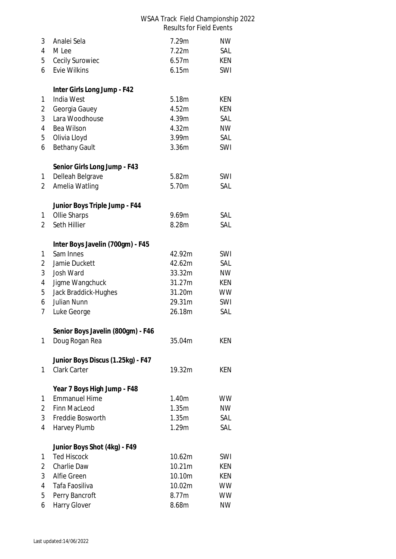| 3<br>$\overline{4}$<br>5<br>6 | Analei Sela<br>M Lee<br>Cecily Surowiec<br><b>Evie Wilkins</b> | 7.29m<br>7.22m<br>6.57m<br>6.15m | <b>NW</b><br>SAL<br>KEN<br>SWI |
|-------------------------------|----------------------------------------------------------------|----------------------------------|--------------------------------|
|                               | Inter Girls Long Jump - F42                                    |                                  |                                |
| 1                             | India West                                                     | 5.18m                            | <b>KEN</b>                     |
| 2                             | Georgia Gauey                                                  | 4.52m                            | KEN                            |
| 3                             | Lara Woodhouse                                                 | 4.39m                            | SAL                            |
| 4                             | Bea Wilson                                                     | 4.32m                            | <b>NW</b><br>SAL               |
| 5<br>6                        | Olivia Lloyd<br><b>Bethany Gault</b>                           | 3.99m<br>3.36m                   | SWI                            |
|                               | Senior Girls Long Jump - F43                                   |                                  |                                |
| 1                             | Delleah Belgrave                                               | 5.82m                            | SWI                            |
| $\overline{2}$                | Amelia Watling                                                 | 5.70m                            | SAL                            |
|                               | Junior Boys Triple Jump - F44                                  |                                  |                                |
| 1                             | Ollie Sharps                                                   | 9.69m                            | SAL                            |
| $\overline{2}$                | Seth Hillier                                                   | 8.28m                            | SAL                            |
|                               | Inter Boys Javelin (700gm) - F45                               |                                  |                                |
| 1                             | Sam Innes                                                      | 42.92m                           | SWI                            |
| 2                             | Jamie Duckett                                                  | 42.62m                           | SAL                            |
| 3                             | Josh Ward                                                      | 33.32m                           | <b>NW</b>                      |
| 4<br>5                        | Jigme Wangchuck<br>Jack Braddick-Hughes                        | 31.27m<br>31.20m                 | <b>KEN</b><br><b>WW</b>        |
| 6                             | Julian Nunn                                                    | 29.31m                           | SWI                            |
| 7                             | Luke George                                                    | 26.18m                           | SAL                            |
|                               | Senior Boys Javelin (800gm) - F46                              |                                  |                                |
| 1                             | Doug Rogan Rea                                                 | 35.04m                           | KEN                            |
|                               | Junior Boys Discus (1.25kg) - F47                              |                                  |                                |
| $\mathbf{1}$                  | Clark Carter                                                   | 19.32m                           | <b>KEN</b>                     |
|                               | Year 7 Boys High Jump - F48                                    |                                  |                                |
| 1                             | <b>Emmanuel Hime</b>                                           | 1.40m                            | <b>WW</b>                      |
| $\overline{2}$                | Finn MacLeod                                                   | 1.35m                            | <b>NW</b>                      |
| 3                             | Freddie Bosworth                                               | 1.35m                            | SAL                            |
| 4                             | Harvey Plumb                                                   | 1.29m                            | SAL                            |
|                               | Junior Boys Shot (4kg) - F49                                   |                                  |                                |
| 1                             | <b>Ted Hiscock</b>                                             | 10.62m                           | SWI                            |
| 2                             | Charlie Daw                                                    | 10.21m                           | KEN                            |
| 3<br>4                        | Alfie Green<br>Tafa Faosiliva                                  | 10.10m<br>10.02m                 | KEN<br><b>WW</b>               |
| 5                             | Perry Bancroft                                                 | 8.77m                            | <b>WW</b>                      |
| 6                             | Harry Glover                                                   | 8.68m                            | <b>NW</b>                      |
|                               |                                                                |                                  |                                |